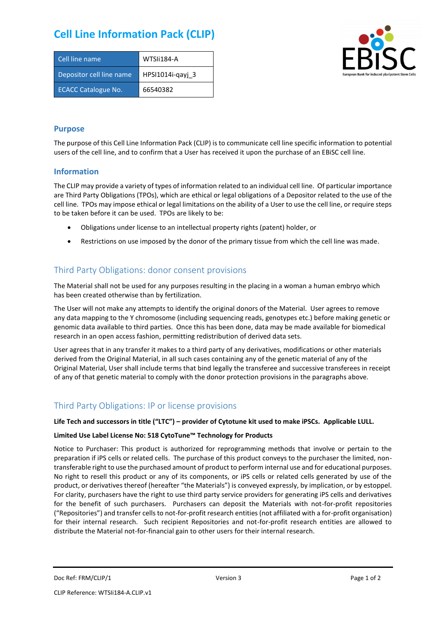# **Cell Line Information Pack (CLIP)**

| Cell line name             | WTSIi184-A       |
|----------------------------|------------------|
| Depositor cell line name   | HPSI1014i-gayi 3 |
| <b>ECACC Catalogue No.</b> | 66540382         |



### **Purpose**

The purpose of this Cell Line Information Pack (CLIP) is to communicate cell line specific information to potential users of the cell line, and to confirm that a User has received it upon the purchase of an EBiSC cell line.

#### **Information**

The CLIP may provide a variety of types of information related to an individual cell line. Of particular importance are Third Party Obligations (TPOs), which are ethical or legal obligations of a Depositor related to the use of the cell line. TPOs may impose ethical or legal limitations on the ability of a User to use the cell line, or require steps to be taken before it can be used. TPOs are likely to be:

- Obligations under license to an intellectual property rights (patent) holder, or
- Restrictions on use imposed by the donor of the primary tissue from which the cell line was made.

## Third Party Obligations: donor consent provisions

The Material shall not be used for any purposes resulting in the placing in a woman a human embryo which has been created otherwise than by fertilization.

The User will not make any attempts to identify the original donors of the Material. User agrees to remove any data mapping to the Y chromosome (including sequencing reads, genotypes etc.) before making genetic or genomic data available to third parties. Once this has been done, data may be made available for biomedical research in an open access fashion, permitting redistribution of derived data sets.

User agrees that in any transfer it makes to a third party of any derivatives, modifications or other materials derived from the Original Material, in all such cases containing any of the genetic material of any of the Original Material, User shall include terms that bind legally the transferee and successive transferees in receipt of any of that genetic material to comply with the donor protection provisions in the paragraphs above.

## Third Party Obligations: IP or license provisions

#### **Life Tech and successors in title ("LTC") – provider of Cytotune kit used to make iPSCs. Applicable LULL.**

#### **Limited Use Label License No: 518 CytoTune™ Technology for Products**

Notice to Purchaser: This product is authorized for reprogramming methods that involve or pertain to the preparation if iPS cells or related cells. The purchase of this product conveys to the purchaser the limited, nontransferable right to use the purchased amount of product to perform internal use and for educational purposes. No right to resell this product or any of its components, or iPS cells or related cells generated by use of the product, or derivatives thereof (hereafter "the Materials") is conveyed expressly, by implication, or by estoppel. For clarity, purchasers have the right to use third party service providers for generating iPS cells and derivatives for the benefit of such purchasers. Purchasers can deposit the Materials with not-for-profit repositories ("Repositories") and transfer cells to not-for-profit research entities (not affiliated with a for-profit organisation) for their internal research. Such recipient Repositories and not-for-profit research entities are allowed to distribute the Material not-for-financial gain to other users for their internal research.

Doc Ref: FRM/CLIP/1 **Docessition** 2 Page 1 of 2 Version 3 **Page 1 of 2** Page 1 of 2